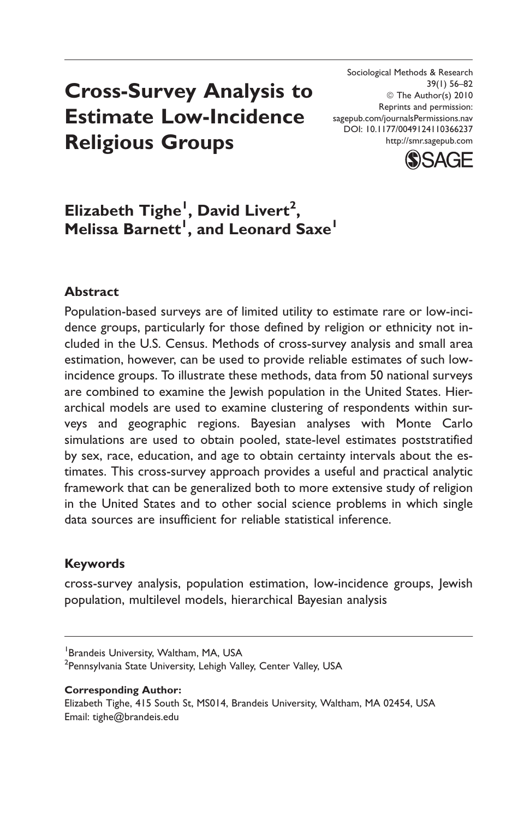# Cross-Survey Analysis to Estimate Low-Incidence Religious Groups

Sociological Methods & Research 39(1) 56–82 © The Author(s) 2010 Reprints and permission: sagepub.com/journalsPermissions.nav DOI: 10.1177/0049124110366237 http://smr.sagepub.com



## Elizabeth Tighe<sup>1</sup>, David Livert<sup>2</sup>, Melissa Barnett<sup>1</sup>, and Leonard Saxe<sup>1</sup>

#### **Abstract**

Population-based surveys are of limited utility to estimate rare or low-incidence groups, particularly for those defined by religion or ethnicity not included in the U.S. Census. Methods of cross-survey analysis and small area estimation, however, can be used to provide reliable estimates of such lowincidence groups. To illustrate these methods, data from 50 national surveys are combined to examine the Jewish population in the United States. Hierarchical models are used to examine clustering of respondents within surveys and geographic regions. Bayesian analyses with Monte Carlo simulations are used to obtain pooled, state-level estimates poststratified by sex, race, education, and age to obtain certainty intervals about the estimates. This cross-survey approach provides a useful and practical analytic framework that can be generalized both to more extensive study of religion in the United States and to other social science problems in which single data sources are insufficient for reliable statistical inference.

#### Keywords

cross-survey analysis, population estimation, low-incidence groups, Jewish population, multilevel models, hierarchical Bayesian analysis

<sup>2</sup>Pennsylvania State University, Lehigh Valley, Center Valley, USA

#### Corresponding Author:

Elizabeth Tighe, 415 South St, MS014, Brandeis University, Waltham, MA 02454, USA Email: tighe@brandeis.edu

<sup>1</sup> Brandeis University, Waltham, MA, USA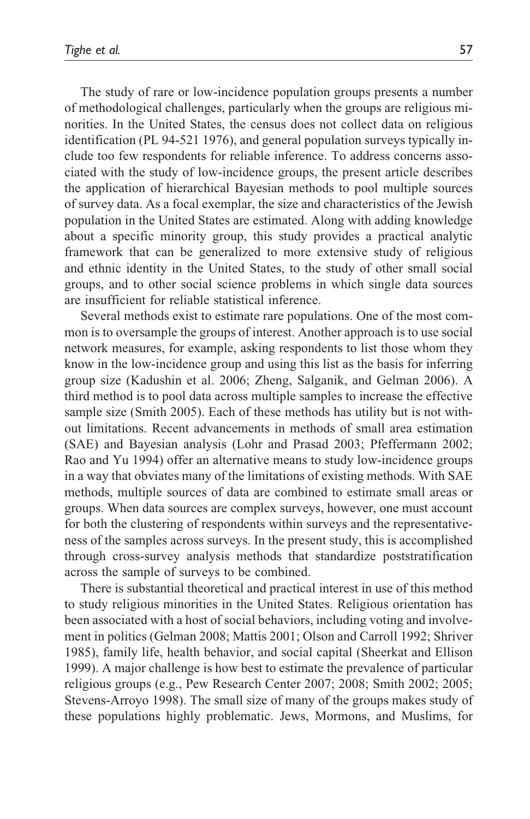The study of rare or low-incidence population groups presents a number of methodological challenges, particularly when the groups are religious minorities. In the United States, the census does not collect data on religious identification (PL 94-521 1976), and general population surveys typically include too few respondents for reliable inference. To address concerns associated with the study of low-incidence groups, the present article describes the application of hierarchical Bayesian methods to pool multiple sources of survey data. As a focal exemplar, the size and characteristics of the Jewish population in the United States are estimated. Along with adding knowledge about a specific minority group, this study provides a practical analytic framework that can be generalized to more extensive study of religious and ethnic identity in the United States, to the study of other small social groups, and to other social science problems in which single data sources are insufficient for reliable statistical inference.

Several methods exist to estimate rare populations. One of the most common is to oversample the groups of interest. Another approach is to use social network measures, for example, asking respondents to list those whom they know in the low-incidence group and using this list as the basis for inferring group size (Kadushin et al. 2006; Zheng, Salganik, and Gelman 2006). A third method is to pool data across multiple samples to increase the effective sample size (Smith 2005). Each of these methods has utility but is not without limitations. Recent advancements in methods of small area estimation (SAE) and Bayesian analysis (Lohr and Prasad 2003; Pfeffermann 2002; Rao and Yu 1994) offer an alternative means to study low-incidence groups in a way that obviates many of the limitations of existing methods. With SAE methods, multiple sources of data are combined to estimate small areas or groups. When data sources are complex surveys, however, one must account for both the clustering of respondents within surveys and the representativeness of the samples across surveys. In the present study, this is accomplished through cross-survey analysis methods that standardize poststratification across the sample of surveys to be combined.

There is substantial theoretical and practical interest in use of this method to study religious minorities in the United States. Religious orientation has been associated with a host of social behaviors, including voting and involvement in politics (Gelman 2008; Mattis 2001; Olson and Carroll 1992; Shriver 1985), family life, health behavior, and social capital (Sheerkat and Ellison 1999). A major challenge is how best to estimate the prevalence of particular religious groups (e.g., Pew Research Center 2007; 2008; Smith 2002; 2005; Stevens-Arroyo 1998). The small size of many of the groups makes study of these populations highly problematic. Jews, Mormons, and Muslims, for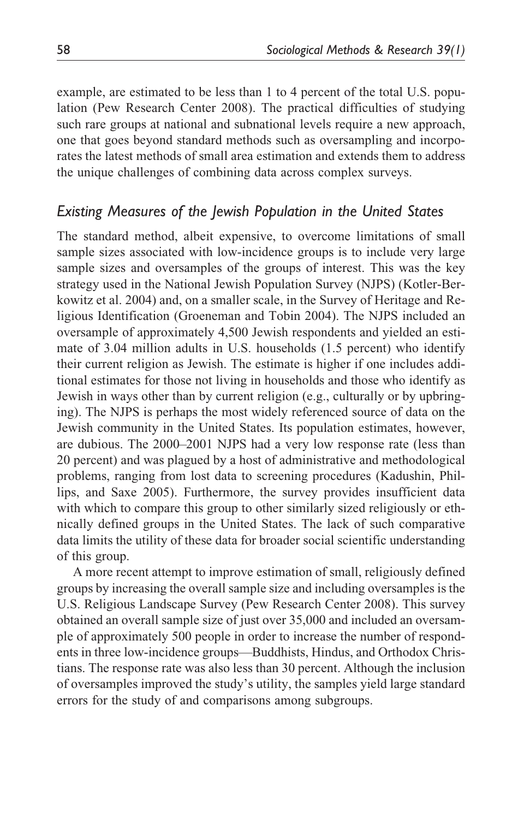example, are estimated to be less than 1 to 4 percent of the total U.S. population (Pew Research Center 2008). The practical difficulties of studying such rare groups at national and subnational levels require a new approach, one that goes beyond standard methods such as oversampling and incorporates the latest methods of small area estimation and extends them to address the unique challenges of combining data across complex surveys.

#### Existing Measures of the Jewish Population in the United States

The standard method, albeit expensive, to overcome limitations of small sample sizes associated with low-incidence groups is to include very large sample sizes and oversamples of the groups of interest. This was the key strategy used in the National Jewish Population Survey (NJPS) (Kotler-Berkowitz et al. 2004) and, on a smaller scale, in the Survey of Heritage and Religious Identification (Groeneman and Tobin 2004). The NJPS included an oversample of approximately 4,500 Jewish respondents and yielded an estimate of 3.04 million adults in U.S. households (1.5 percent) who identify their current religion as Jewish. The estimate is higher if one includes additional estimates for those not living in households and those who identify as Jewish in ways other than by current religion (e.g., culturally or by upbringing). The NJPS is perhaps the most widely referenced source of data on the Jewish community in the United States. Its population estimates, however, are dubious. The 2000–2001 NJPS had a very low response rate (less than 20 percent) and was plagued by a host of administrative and methodological problems, ranging from lost data to screening procedures (Kadushin, Phillips, and Saxe 2005). Furthermore, the survey provides insufficient data with which to compare this group to other similarly sized religiously or ethnically defined groups in the United States. The lack of such comparative data limits the utility of these data for broader social scientific understanding of this group.

A more recent attempt to improve estimation of small, religiously defined groups by increasing the overall sample size and including oversamples is the U.S. Religious Landscape Survey (Pew Research Center 2008). This survey obtained an overall sample size of just over 35,000 and included an oversample of approximately 500 people in order to increase the number of respondents in three low-incidence groups—Buddhists, Hindus, and Orthodox Christians. The response rate was also less than 30 percent. Although the inclusion of oversamples improved the study's utility, the samples yield large standard errors for the study of and comparisons among subgroups.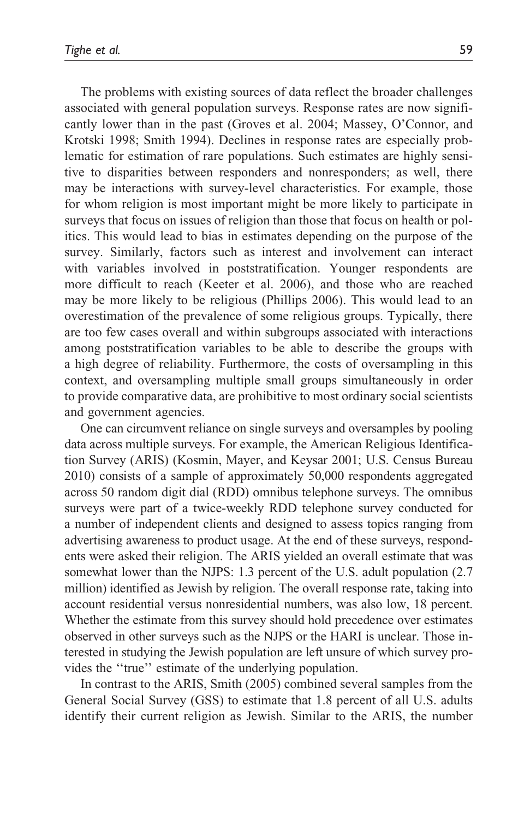The problems with existing sources of data reflect the broader challenges associated with general population surveys. Response rates are now significantly lower than in the past (Groves et al. 2004; Massey, O'Connor, and Krotski 1998; Smith 1994). Declines in response rates are especially problematic for estimation of rare populations. Such estimates are highly sensitive to disparities between responders and nonresponders; as well, there may be interactions with survey-level characteristics. For example, those for whom religion is most important might be more likely to participate in surveys that focus on issues of religion than those that focus on health or politics. This would lead to bias in estimates depending on the purpose of the survey. Similarly, factors such as interest and involvement can interact with variables involved in poststratification. Younger respondents are more difficult to reach (Keeter et al. 2006), and those who are reached may be more likely to be religious (Phillips 2006). This would lead to an overestimation of the prevalence of some religious groups. Typically, there are too few cases overall and within subgroups associated with interactions among poststratification variables to be able to describe the groups with a high degree of reliability. Furthermore, the costs of oversampling in this context, and oversampling multiple small groups simultaneously in order to provide comparative data, are prohibitive to most ordinary social scientists and government agencies.

One can circumvent reliance on single surveys and oversamples by pooling data across multiple surveys. For example, the American Religious Identification Survey (ARIS) (Kosmin, Mayer, and Keysar 2001; U.S. Census Bureau 2010) consists of a sample of approximately 50,000 respondents aggregated across 50 random digit dial (RDD) omnibus telephone surveys. The omnibus surveys were part of a twice-weekly RDD telephone survey conducted for a number of independent clients and designed to assess topics ranging from advertising awareness to product usage. At the end of these surveys, respondents were asked their religion. The ARIS yielded an overall estimate that was somewhat lower than the NJPS: 1.3 percent of the U.S. adult population (2.7 million) identified as Jewish by religion. The overall response rate, taking into account residential versus nonresidential numbers, was also low, 18 percent. Whether the estimate from this survey should hold precedence over estimates observed in other surveys such as the NJPS or the HARI is unclear. Those interested in studying the Jewish population are left unsure of which survey provides the ''true'' estimate of the underlying population.

In contrast to the ARIS, Smith (2005) combined several samples from the General Social Survey (GSS) to estimate that 1.8 percent of all U.S. adults identify their current religion as Jewish. Similar to the ARIS, the number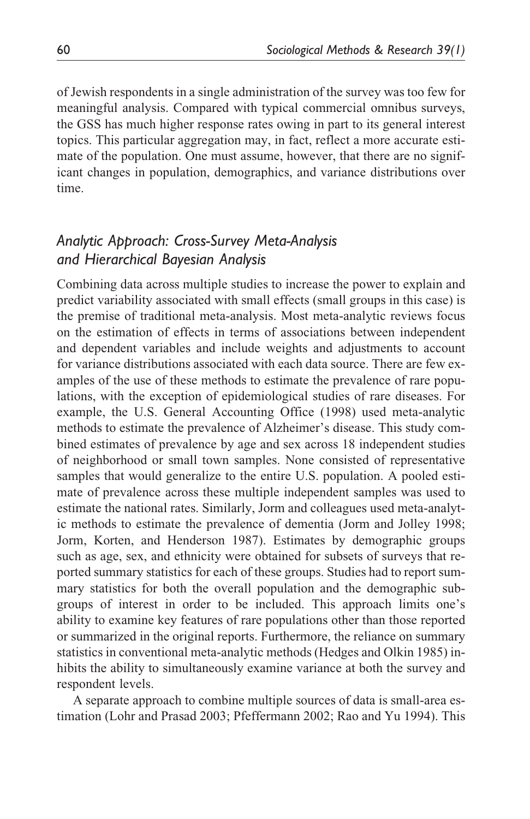of Jewish respondents in a single administration of the survey was too few for meaningful analysis. Compared with typical commercial omnibus surveys, the GSS has much higher response rates owing in part to its general interest topics. This particular aggregation may, in fact, reflect a more accurate estimate of the population. One must assume, however, that there are no significant changes in population, demographics, and variance distributions over time.

### Analytic Approach: Cross-Survey Meta-Analysis and Hierarchical Bayesian Analysis

Combining data across multiple studies to increase the power to explain and predict variability associated with small effects (small groups in this case) is the premise of traditional meta-analysis. Most meta-analytic reviews focus on the estimation of effects in terms of associations between independent and dependent variables and include weights and adjustments to account for variance distributions associated with each data source. There are few examples of the use of these methods to estimate the prevalence of rare populations, with the exception of epidemiological studies of rare diseases. For example, the U.S. General Accounting Office (1998) used meta-analytic methods to estimate the prevalence of Alzheimer's disease. This study combined estimates of prevalence by age and sex across 18 independent studies of neighborhood or small town samples. None consisted of representative samples that would generalize to the entire U.S. population. A pooled estimate of prevalence across these multiple independent samples was used to estimate the national rates. Similarly, Jorm and colleagues used meta-analytic methods to estimate the prevalence of dementia (Jorm and Jolley 1998; Jorm, Korten, and Henderson 1987). Estimates by demographic groups such as age, sex, and ethnicity were obtained for subsets of surveys that reported summary statistics for each of these groups. Studies had to report summary statistics for both the overall population and the demographic subgroups of interest in order to be included. This approach limits one's ability to examine key features of rare populations other than those reported or summarized in the original reports. Furthermore, the reliance on summary statistics in conventional meta-analytic methods (Hedges and Olkin 1985) inhibits the ability to simultaneously examine variance at both the survey and respondent levels.

A separate approach to combine multiple sources of data is small-area estimation (Lohr and Prasad 2003; Pfeffermann 2002; Rao and Yu 1994). This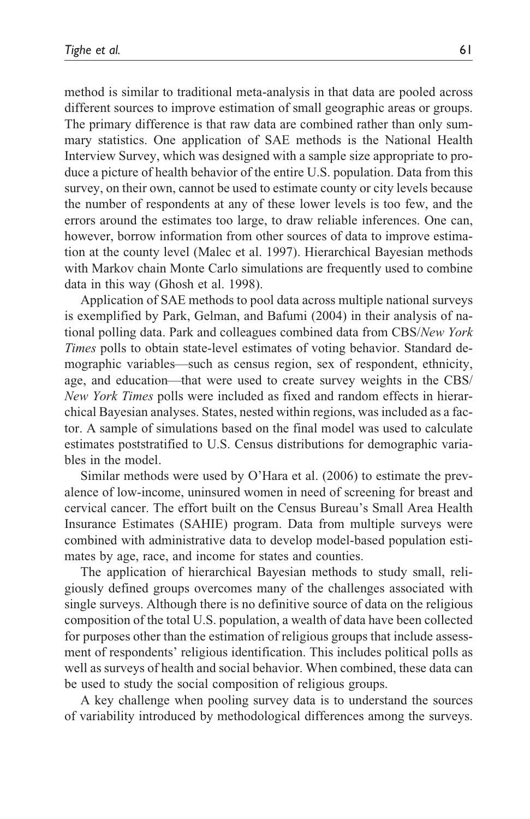method is similar to traditional meta-analysis in that data are pooled across different sources to improve estimation of small geographic areas or groups. The primary difference is that raw data are combined rather than only summary statistics. One application of SAE methods is the National Health Interview Survey, which was designed with a sample size appropriate to produce a picture of health behavior of the entire U.S. population. Data from this survey, on their own, cannot be used to estimate county or city levels because the number of respondents at any of these lower levels is too few, and the errors around the estimates too large, to draw reliable inferences. One can, however, borrow information from other sources of data to improve estimation at the county level (Malec et al. 1997). Hierarchical Bayesian methods with Markov chain Monte Carlo simulations are frequently used to combine data in this way (Ghosh et al. 1998).

Application of SAE methods to pool data across multiple national surveys is exemplified by Park, Gelman, and Bafumi (2004) in their analysis of national polling data. Park and colleagues combined data from CBS/New York Times polls to obtain state-level estimates of voting behavior. Standard demographic variables—such as census region, sex of respondent, ethnicity, age, and education—that were used to create survey weights in the CBS/ New York Times polls were included as fixed and random effects in hierarchical Bayesian analyses. States, nested within regions, was included as a factor. A sample of simulations based on the final model was used to calculate estimates poststratified to U.S. Census distributions for demographic variables in the model.

Similar methods were used by O'Hara et al. (2006) to estimate the prevalence of low-income, uninsured women in need of screening for breast and cervical cancer. The effort built on the Census Bureau's Small Area Health Insurance Estimates (SAHIE) program. Data from multiple surveys were combined with administrative data to develop model-based population estimates by age, race, and income for states and counties.

The application of hierarchical Bayesian methods to study small, religiously defined groups overcomes many of the challenges associated with single surveys. Although there is no definitive source of data on the religious composition of the total U.S. population, a wealth of data have been collected for purposes other than the estimation of religious groups that include assessment of respondents' religious identification. This includes political polls as well as surveys of health and social behavior. When combined, these data can be used to study the social composition of religious groups.

A key challenge when pooling survey data is to understand the sources of variability introduced by methodological differences among the surveys.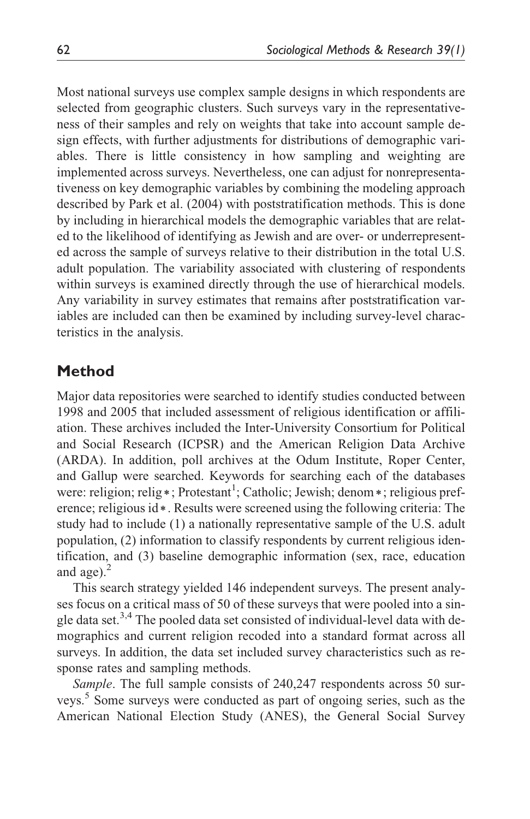Most national surveys use complex sample designs in which respondents are selected from geographic clusters. Such surveys vary in the representativeness of their samples and rely on weights that take into account sample design effects, with further adjustments for distributions of demographic variables. There is little consistency in how sampling and weighting are implemented across surveys. Nevertheless, one can adjust for nonrepresentativeness on key demographic variables by combining the modeling approach described by Park et al. (2004) with poststratification methods. This is done by including in hierarchical models the demographic variables that are related to the likelihood of identifying as Jewish and are over- or underrepresented across the sample of surveys relative to their distribution in the total U.S. adult population. The variability associated with clustering of respondents within surveys is examined directly through the use of hierarchical models. Any variability in survey estimates that remains after poststratification variables are included can then be examined by including survey-level characteristics in the analysis.

#### Method

Major data repositories were searched to identify studies conducted between 1998 and 2005 that included assessment of religious identification or affiliation. These archives included the Inter-University Consortium for Political and Social Research (ICPSR) and the American Religion Data Archive (ARDA). In addition, poll archives at the Odum Institute, Roper Center, and Gallup were searched. Keywords for searching each of the databases were: religion; relig \*; Protestant<sup>1</sup>; Catholic; Jewish; denom \*; religious preference; religious id \*. Results were screened using the following criteria: The study had to include (1) a nationally representative sample of the U.S. adult population, (2) information to classify respondents by current religious identification, and (3) baseline demographic information (sex, race, education and age). $<sup>2</sup>$ </sup>

This search strategy yielded 146 independent surveys. The present analyses focus on a critical mass of 50 of these surveys that were pooled into a single data set.<sup>3,4</sup> The pooled data set consisted of individual-level data with demographics and current religion recoded into a standard format across all surveys. In addition, the data set included survey characteristics such as response rates and sampling methods.

Sample. The full sample consists of 240,247 respondents across 50 surveys.5 Some surveys were conducted as part of ongoing series, such as the American National Election Study (ANES), the General Social Survey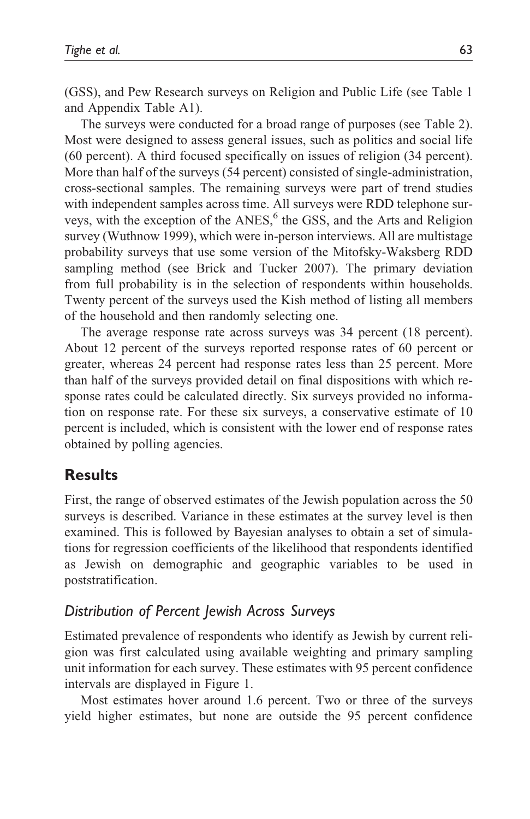(GSS), and Pew Research surveys on Religion and Public Life (see Table 1 and Appendix Table A1).

The surveys were conducted for a broad range of purposes (see Table 2). Most were designed to assess general issues, such as politics and social life (60 percent). A third focused specifically on issues of religion (34 percent). More than half of the surveys (54 percent) consisted of single-administration, cross-sectional samples. The remaining surveys were part of trend studies with independent samples across time. All surveys were RDD telephone surveys, with the exception of the  $ANES<sub>o</sub><sup>6</sup>$  the GSS, and the Arts and Religion survey (Wuthnow 1999), which were in-person interviews. All are multistage probability surveys that use some version of the Mitofsky-Waksberg RDD sampling method (see Brick and Tucker 2007). The primary deviation from full probability is in the selection of respondents within households. Twenty percent of the surveys used the Kish method of listing all members of the household and then randomly selecting one.

The average response rate across surveys was 34 percent (18 percent). About 12 percent of the surveys reported response rates of 60 percent or greater, whereas 24 percent had response rates less than 25 percent. More than half of the surveys provided detail on final dispositions with which response rates could be calculated directly. Six surveys provided no information on response rate. For these six surveys, a conservative estimate of 10 percent is included, which is consistent with the lower end of response rates obtained by polling agencies.

### Results

First, the range of observed estimates of the Jewish population across the 50 surveys is described. Variance in these estimates at the survey level is then examined. This is followed by Bayesian analyses to obtain a set of simulations for regression coefficients of the likelihood that respondents identified as Jewish on demographic and geographic variables to be used in poststratification.

#### Distribution of Percent Jewish Across Surveys

Estimated prevalence of respondents who identify as Jewish by current religion was first calculated using available weighting and primary sampling unit information for each survey. These estimates with 95 percent confidence intervals are displayed in Figure 1.

Most estimates hover around 1.6 percent. Two or three of the surveys yield higher estimates, but none are outside the 95 percent confidence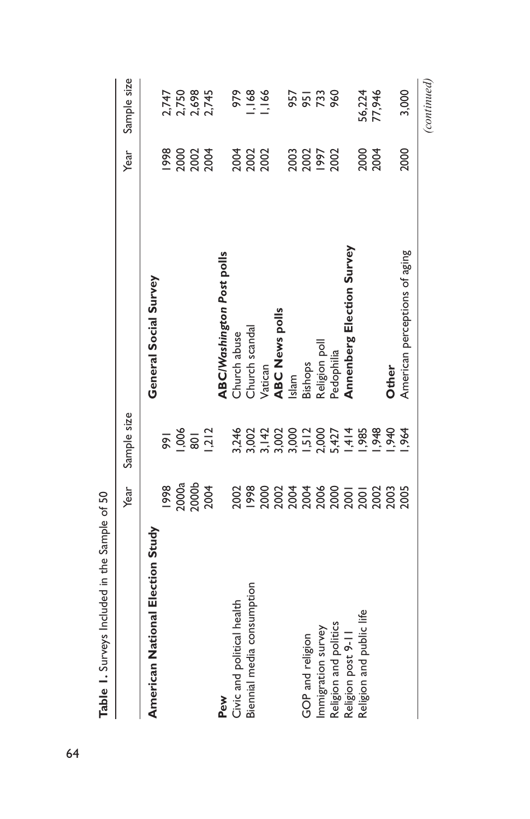|                                  | Year                                                | Sample size         |                                  | Year         | Sample size                      |
|----------------------------------|-----------------------------------------------------|---------------------|----------------------------------|--------------|----------------------------------|
| American National Election Study |                                                     |                     | General Social Survey            |              |                                  |
|                                  | 1998                                                | 991                 |                                  | 1998         |                                  |
|                                  |                                                     |                     |                                  |              |                                  |
|                                  |                                                     |                     |                                  | 2002<br>2004 |                                  |
|                                  | 2000a<br>2000b<br>2004                              | $\frac{1,006}{801}$ |                                  |              | 2,750<br>2,750<br>2,769<br>2,745 |
| Pew                              |                                                     |                     | <b>ABC/Washington Post polls</b> |              |                                  |
| Civic and political health       |                                                     |                     | Church abuse                     |              | 979                              |
| Biennial media consumption       |                                                     |                     | Church scandal                   | 2004         |                                  |
|                                  |                                                     |                     | Vatican                          | 2002         | 168<br>166.                      |
|                                  | 0028800238002001<br>0000200200001<br>00020000001001 |                     | ABC News polls                   |              |                                  |
|                                  |                                                     |                     | Islam                            | 2003         |                                  |
| GOP and religion                 |                                                     |                     | <b>Bishops</b>                   | 2002         | <b>55788</b>                     |
| Immigration survey               |                                                     |                     | Religion poll                    | 1997         |                                  |
| Religion and politics            |                                                     |                     | Pedophilia                       | 2002         |                                  |
| Religion post 9-11               |                                                     |                     | Annenberg Election Survey        |              |                                  |
| Religion and public life         |                                                     |                     |                                  | 2000         |                                  |
|                                  |                                                     | ,948                |                                  | 2004         | 56,224<br>77,946                 |
|                                  | 2003<br>2005<br>2005                                | ,940                | <b>Other</b>                     |              |                                  |
|                                  |                                                     | ,964                | American perceptions of aging    | 2000         | 3,000                            |
|                                  |                                                     |                     |                                  |              | (continued)                      |

64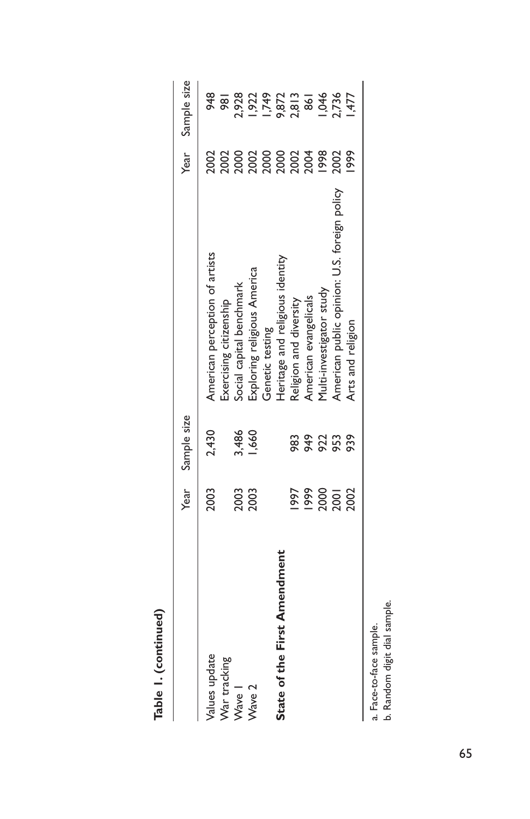| 1999<br>2002<br>2002<br>2002<br>American public opinion: U.S. foreign policy<br>American perception of artists<br>Heritage and religious identity<br>Exploring religious America<br>Social capital benchmark<br>Multi-investigator study<br>American evangelicals<br>Exercising citizenship<br>Religion and diversity<br>Genetic testing<br>2,430<br>3,486<br>1,660<br>983<br>953<br>953<br>949<br>2003<br>2003<br>2003<br><b>PSS</b><br>2001<br>2002<br>1997<br>State of the First Amendment<br>Values update<br>War tracking<br>Wave 2<br>Wave I |  | Year Sample size |                   | Year Sample size                                   |
|----------------------------------------------------------------------------------------------------------------------------------------------------------------------------------------------------------------------------------------------------------------------------------------------------------------------------------------------------------------------------------------------------------------------------------------------------------------------------------------------------------------------------------------------------|--|------------------|-------------------|----------------------------------------------------|
|                                                                                                                                                                                                                                                                                                                                                                                                                                                                                                                                                    |  |                  |                   | 948                                                |
|                                                                                                                                                                                                                                                                                                                                                                                                                                                                                                                                                    |  |                  |                   | 981                                                |
|                                                                                                                                                                                                                                                                                                                                                                                                                                                                                                                                                    |  |                  |                   |                                                    |
|                                                                                                                                                                                                                                                                                                                                                                                                                                                                                                                                                    |  |                  |                   |                                                    |
|                                                                                                                                                                                                                                                                                                                                                                                                                                                                                                                                                    |  |                  |                   |                                                    |
|                                                                                                                                                                                                                                                                                                                                                                                                                                                                                                                                                    |  |                  |                   |                                                    |
|                                                                                                                                                                                                                                                                                                                                                                                                                                                                                                                                                    |  |                  |                   | 2,928<br>1,922<br>1,749<br>1,472<br>1,477<br>1,477 |
|                                                                                                                                                                                                                                                                                                                                                                                                                                                                                                                                                    |  |                  |                   |                                                    |
|                                                                                                                                                                                                                                                                                                                                                                                                                                                                                                                                                    |  |                  |                   |                                                    |
|                                                                                                                                                                                                                                                                                                                                                                                                                                                                                                                                                    |  |                  |                   |                                                    |
|                                                                                                                                                                                                                                                                                                                                                                                                                                                                                                                                                    |  |                  | Arts and religion |                                                    |

Table I. (continued) Table 1. (continued)

a. Face-to-face sample.<br>b. Random digit dial sample. a. Face-to-face sample.

b. Random digit dial sample.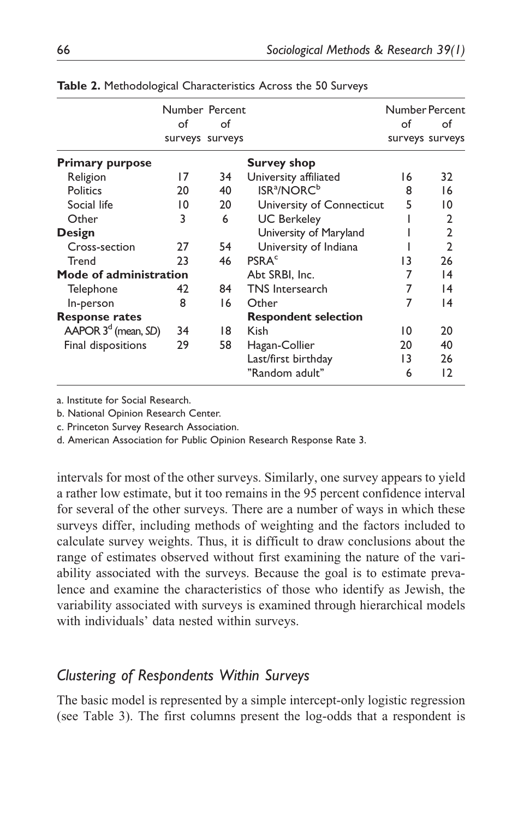|                                 | Number Percent  |    |                                     |    | Number Percent  |
|---------------------------------|-----------------|----|-------------------------------------|----|-----------------|
|                                 | of              | of |                                     | of | of              |
|                                 | surveys surveys |    |                                     |    | surveys surveys |
| <b>Primary purpose</b>          |                 |    | <b>Survey shop</b>                  |    |                 |
| Religion                        | 17              | 34 | University affiliated               | 16 | 32              |
| Politics                        | 20              | 40 | ISR <sup>a</sup> /NORC <sup>b</sup> | 8  | 16              |
| Social life                     | 10              | 20 | University of Connecticut           | 5  | 10              |
| Other                           | 3               | 6  | <b>UC Berkeley</b>                  |    | $\mathfrak{p}$  |
| <b>Design</b>                   |                 |    | University of Maryland              |    | 2               |
| Cross-section                   | 27              | 54 | University of Indiana               |    | 2               |
| Trend                           | 23              | 46 | <b>PSRA<sup>c</sup></b>             | 13 | 26              |
| Mode of administration          |                 |    | Abt SRBI, Inc.                      | 7  | 14              |
| Telephone                       | 42              | 84 | <b>TNS</b> Intersearch              | 7  | 14              |
| In-person                       | 8               | 16 | Other                               | 7  | 4               |
| <b>Response rates</b>           |                 |    | <b>Respondent selection</b>         |    |                 |
| AAPOR 3 <sup>d</sup> (mean, SD) | 34              | 18 | Kish                                | 10 | 20              |
| Final dispositions              | 29              | 58 | Hagan-Collier                       | 20 | 40              |
|                                 |                 |    | Last/first birthday                 | 13 | 26              |
|                                 |                 |    | "Random adult"                      | 6  | $\overline{2}$  |

a. Institute for Social Research.

b. National Opinion Research Center.

c. Princeton Survey Research Association.

d. American Association for Public Opinion Research Response Rate 3.

intervals for most of the other surveys. Similarly, one survey appears to yield a rather low estimate, but it too remains in the 95 percent confidence interval for several of the other surveys. There are a number of ways in which these surveys differ, including methods of weighting and the factors included to calculate survey weights. Thus, it is difficult to draw conclusions about the range of estimates observed without first examining the nature of the variability associated with the surveys. Because the goal is to estimate prevalence and examine the characteristics of those who identify as Jewish, the variability associated with surveys is examined through hierarchical models with individuals' data nested within surveys.

#### Clustering of Respondents Within Surveys

The basic model is represented by a simple intercept-only logistic regression (see Table 3). The first columns present the log-odds that a respondent is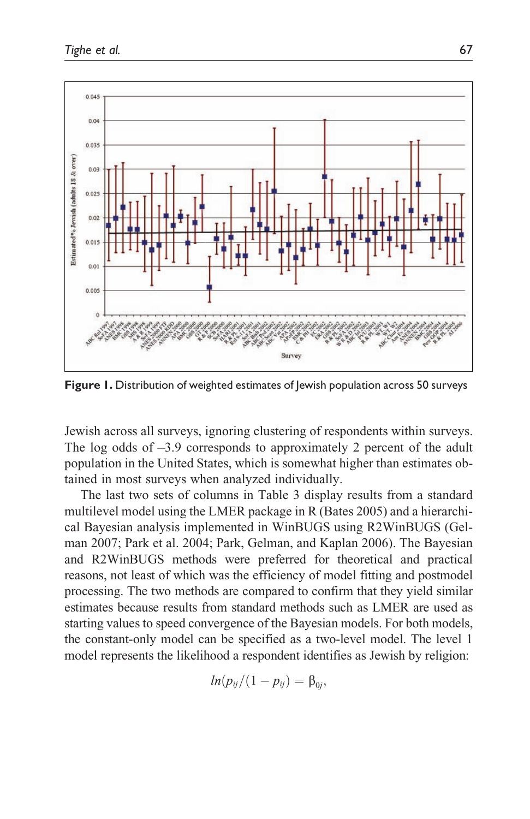

Figure 1. Distribution of weighted estimates of Jewish population across 50 surveys

Jewish across all surveys, ignoring clustering of respondents within surveys. The log odds of  $-3.9$  corresponds to approximately 2 percent of the adult population in the United States, which is somewhat higher than estimates obtained in most surveys when analyzed individually.

The last two sets of columns in Table 3 display results from a standard multilevel model using the LMER package in R (Bates 2005) and a hierarchical Bayesian analysis implemented in WinBUGS using R2WinBUGS (Gelman 2007; Park et al. 2004; Park, Gelman, and Kaplan 2006). The Bayesian and R2WinBUGS methods were preferred for theoretical and practical reasons, not least of which was the efficiency of model fitting and postmodel processing. The two methods are compared to confirm that they yield similar estimates because results from standard methods such as LMER are used as starting values to speed convergence of the Bayesian models. For both models, the constant-only model can be specified as a two-level model. The level 1 model represents the likelihood a respondent identifies as Jewish by religion:

$$
ln(p_{ij}/(1-p_{ij})=\beta_{0j},
$$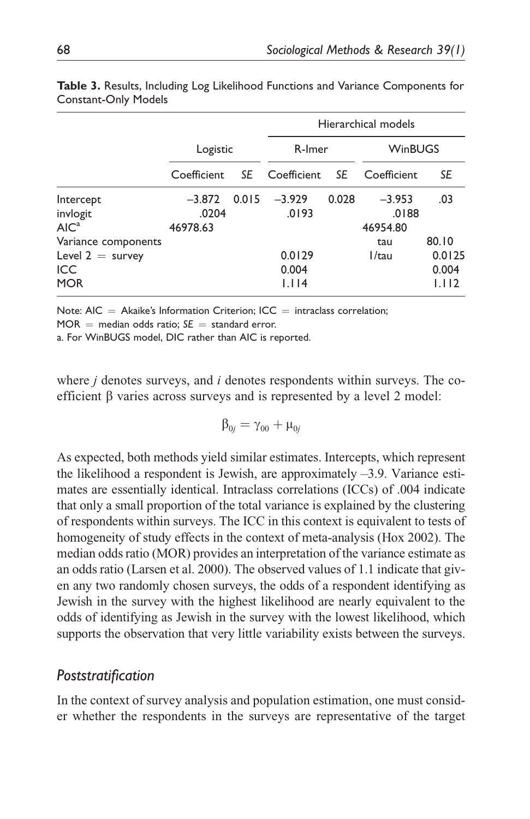|                                                                  |                               |       |                          |       | Hierarchical models                  |                          |
|------------------------------------------------------------------|-------------------------------|-------|--------------------------|-------|--------------------------------------|--------------------------|
|                                                                  | Logistic                      |       | R-Imer                   |       | <b>WinBUGS</b>                       |                          |
|                                                                  | Coefficient                   | SE -  | Coefficient              | SE    | Coefficient                          | SE                       |
| Intercept<br>invlogit<br>AIC <sup>a</sup><br>Variance components | $-3.872$<br>.0204<br>46978.63 | 0.015 | $-3.929$<br>.0193        | 0.028 | $-3.953$<br>.0188<br>46954.80<br>tau | .03<br>80.10             |
| Level $2 =$ survey<br>ICC<br><b>MOR</b>                          |                               |       | 0.0129<br>0.004<br>1.114 |       | 1/tau                                | 0.0125<br>0.004<br>1.112 |

Table 3. Results, Including Log Likelihood Functions and Variance Components for Constant-Only Models

Note:  $AIC = Akaike's Information Criterion; ICC = intraclass correlation;$ 

 $MOR =$  median odds ratio;  $SE =$  standard error.

a. For WinBUGS model, DIC rather than AIC is reported.

where  $j$  denotes surveys, and  $i$  denotes respondents within surveys. The coefficient  $\beta$  varies across surveys and is represented by a level 2 model:

$$
\beta_{0j}=\gamma_{00}+\mu_{0j}
$$

As expected, both methods yield similar estimates. Intercepts, which represent the likelihood a respondent is Jewish, are approximately –3.9. Variance estimates are essentially identical. Intraclass correlations (ICCs) of .004 indicate that only a small proportion of the total variance is explained by the clustering of respondents within surveys. The ICC in this context is equivalent to tests of homogeneity of study effects in the context of meta-analysis (Hox 2002). The median odds ratio (MOR) provides an interpretation of the variance estimate as an odds ratio (Larsen et al. 2000). The observed values of 1.1 indicate that given any two randomly chosen surveys, the odds of a respondent identifying as Jewish in the survey with the highest likelihood are nearly equivalent to the odds of identifying as Jewish in the survey with the lowest likelihood, which supports the observation that very little variability exists between the surveys.

#### **Poststratification**

In the context of survey analysis and population estimation, one must consider whether the respondents in the surveys are representative of the target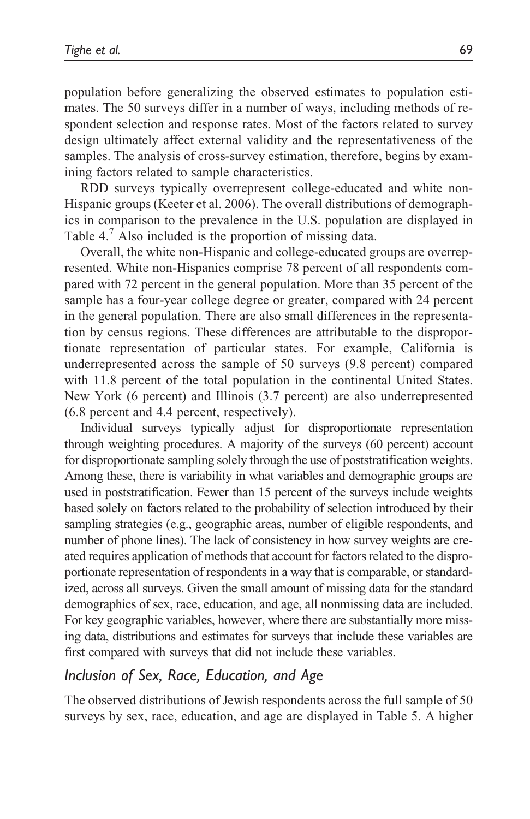population before generalizing the observed estimates to population estimates. The 50 surveys differ in a number of ways, including methods of respondent selection and response rates. Most of the factors related to survey design ultimately affect external validity and the representativeness of the samples. The analysis of cross-survey estimation, therefore, begins by examining factors related to sample characteristics.

RDD surveys typically overrepresent college-educated and white non-Hispanic groups (Keeter et al. 2006). The overall distributions of demographics in comparison to the prevalence in the U.S. population are displayed in Table 4.<sup>7</sup> Also included is the proportion of missing data.

Overall, the white non-Hispanic and college-educated groups are overrepresented. White non-Hispanics comprise 78 percent of all respondents compared with 72 percent in the general population. More than 35 percent of the sample has a four-year college degree or greater, compared with 24 percent in the general population. There are also small differences in the representation by census regions. These differences are attributable to the disproportionate representation of particular states. For example, California is underrepresented across the sample of 50 surveys (9.8 percent) compared with 11.8 percent of the total population in the continental United States. New York (6 percent) and Illinois (3.7 percent) are also underrepresented (6.8 percent and 4.4 percent, respectively).

Individual surveys typically adjust for disproportionate representation through weighting procedures. A majority of the surveys (60 percent) account for disproportionate sampling solely through the use of poststratification weights. Among these, there is variability in what variables and demographic groups are used in poststratification. Fewer than 15 percent of the surveys include weights based solely on factors related to the probability of selection introduced by their sampling strategies (e.g., geographic areas, number of eligible respondents, and number of phone lines). The lack of consistency in how survey weights are created requires application of methods that account for factors related to the disproportionate representation of respondents in a way that is comparable, or standardized, across all surveys. Given the small amount of missing data for the standard demographics of sex, race, education, and age, all nonmissing data are included. For key geographic variables, however, where there are substantially more missing data, distributions and estimates for surveys that include these variables are first compared with surveys that did not include these variables.

#### Inclusion of Sex, Race, Education, and Age

The observed distributions of Jewish respondents across the full sample of 50 surveys by sex, race, education, and age are displayed in Table 5. A higher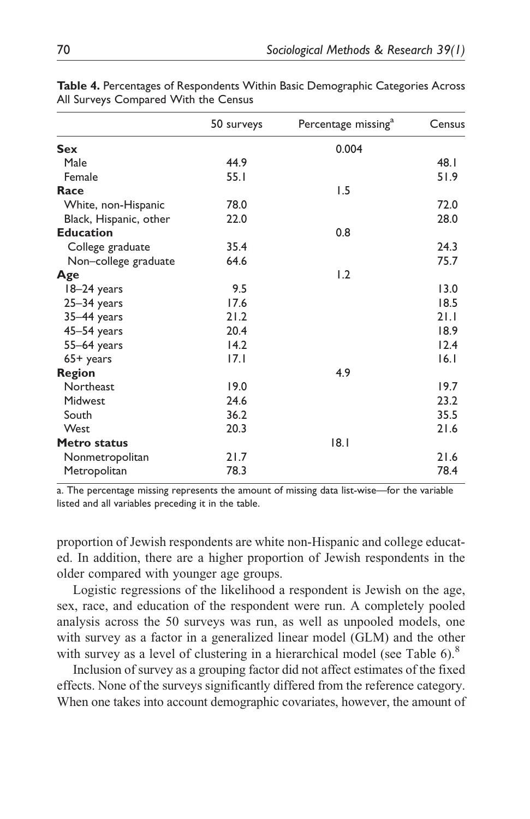|                        | 50 surveys | Percentage missing <sup>a</sup> | Census |
|------------------------|------------|---------------------------------|--------|
| <b>Sex</b>             |            | 0.004                           |        |
| Male                   | 44.9       |                                 | 48.1   |
| Female                 | 55.1       |                                 | 51.9   |
| Race                   |            | 1.5                             |        |
| White, non-Hispanic    | 78.0       |                                 | 72.0   |
| Black, Hispanic, other | 22.0       |                                 | 28.0   |
| <b>Education</b>       |            | 0.8                             |        |
| College graduate       | 35.4       |                                 | 24.3   |
| Non-college graduate   | 64.6       |                                 | 75.7   |
| Age                    |            | 1.2                             |        |
| 18-24 years            | 9.5        |                                 | 13.0   |
| $25 - 34$ years        | 17.6       |                                 | 18.5   |
| $35-44$ years          | 21.2       |                                 | 21.1   |
| 45-54 years            | 20.4       |                                 | 18.9   |
| 55-64 years            | 14.2       |                                 | 12.4   |
| $65+$ years            | 7.1        |                                 | 16.1   |
| <b>Region</b>          |            | 4.9                             |        |
| Northeast              | 19.0       |                                 | 19.7   |
| Midwest                | 24.6       |                                 | 23.2   |
| South                  | 36.2       |                                 | 35.5   |
| West                   | 20.3       |                                 | 21.6   |
| <b>Metro status</b>    |            | 8.1                             |        |
| Nonmetropolitan        | 21.7       |                                 | 21.6   |
| Metropolitan           | 78.3       |                                 | 78.4   |
|                        |            |                                 |        |

Table 4. Percentages of Respondents Within Basic Demographic Categories Across All Surveys Compared With the Census

a. The percentage missing represents the amount of missing data list-wise—for the variable listed and all variables preceding it in the table.

proportion of Jewish respondents are white non-Hispanic and college educated. In addition, there are a higher proportion of Jewish respondents in the older compared with younger age groups.

Logistic regressions of the likelihood a respondent is Jewish on the age, sex, race, and education of the respondent were run. A completely pooled analysis across the 50 surveys was run, as well as unpooled models, one with survey as a factor in a generalized linear model (GLM) and the other with survey as a level of clustering in a hierarchical model (see Table  $6$ ).<sup>8</sup>

Inclusion of survey as a grouping factor did not affect estimates of the fixed effects. None of the surveys significantly differed from the reference category. When one takes into account demographic covariates, however, the amount of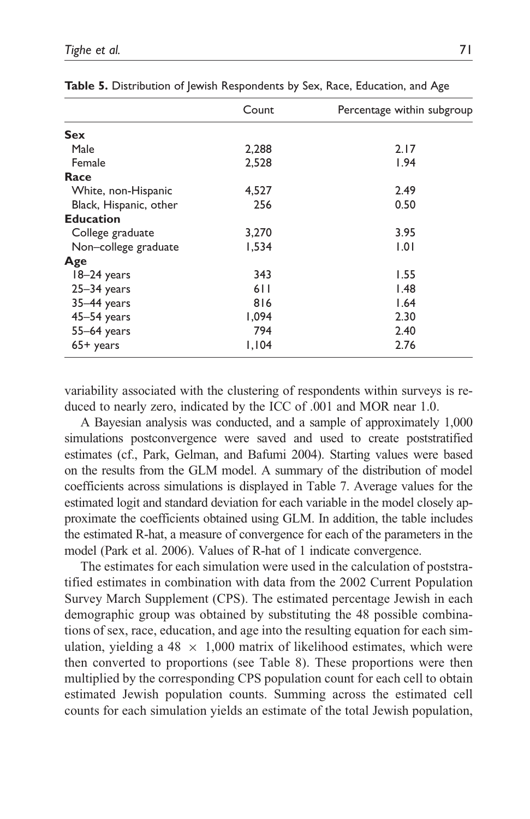|                        | Count | Percentage within subgroup |
|------------------------|-------|----------------------------|
| <b>Sex</b>             |       |                            |
| Male                   | 2,288 | 2.17                       |
| Female                 | 2.528 | 1.94                       |
| Race                   |       |                            |
| White, non-Hispanic    | 4,527 | 2.49                       |
| Black, Hispanic, other | 256   | 0.50                       |
| <b>Education</b>       |       |                            |
| College graduate       | 3,270 | 3.95                       |
| Non-college graduate   | 1,534 | 1.01                       |
| Age                    |       |                            |
| $18-24$ years          | 343   | 1.55                       |
| $25 - 34$ years        | 611   | I.48                       |
| $35-44$ years          | 816   | 1.64                       |
| $45-54$ years          | 1.094 | 2.30                       |
| 55-64 years            | 794   | 2.40                       |
| 65+ years              | 1,104 | 2.76                       |

Table 5. Distribution of Jewish Respondents by Sex, Race, Education, and Age

variability associated with the clustering of respondents within surveys is reduced to nearly zero, indicated by the ICC of .001 and MOR near 1.0.

A Bayesian analysis was conducted, and a sample of approximately 1,000 simulations postconvergence were saved and used to create poststratified estimates (cf., Park, Gelman, and Bafumi 2004). Starting values were based on the results from the GLM model. A summary of the distribution of model coefficients across simulations is displayed in Table 7. Average values for the estimated logit and standard deviation for each variable in the model closely approximate the coefficients obtained using GLM. In addition, the table includes the estimated R-hat, a measure of convergence for each of the parameters in the model (Park et al. 2006). Values of R-hat of 1 indicate convergence.

The estimates for each simulation were used in the calculation of poststratified estimates in combination with data from the 2002 Current Population Survey March Supplement (CPS). The estimated percentage Jewish in each demographic group was obtained by substituting the 48 possible combinations of sex, race, education, and age into the resulting equation for each simulation, yielding a  $48 \times 1,000$  matrix of likelihood estimates, which were then converted to proportions (see Table 8). These proportions were then multiplied by the corresponding CPS population count for each cell to obtain estimated Jewish population counts. Summing across the estimated cell counts for each simulation yields an estimate of the total Jewish population,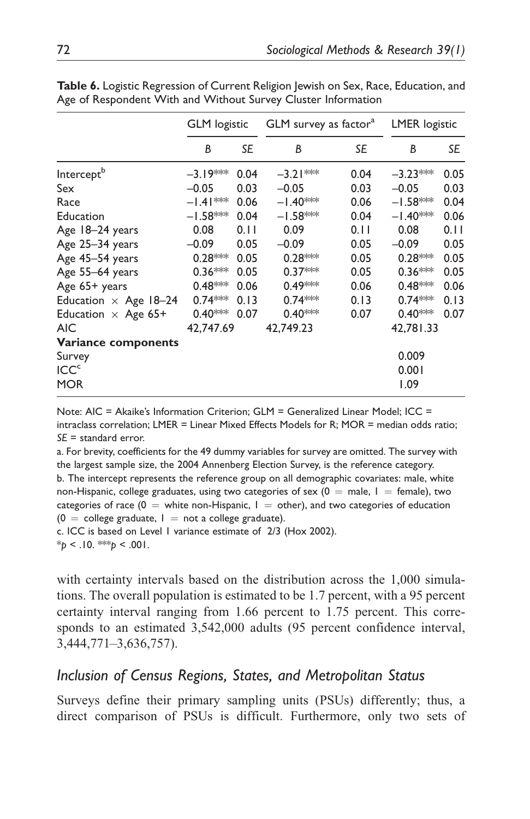|                              | <b>GLM</b> logistic |      | GLM survey as factor <sup>a</sup> |      | <b>LMER</b> logistic |      |
|------------------------------|---------------------|------|-----------------------------------|------|----------------------|------|
|                              | B                   | SE   | B                                 | SE   | B                    | SE   |
| Intercept <sup>b</sup>       | $-3.19***$          | 0.04 | $-3.21***$                        | 0.04 | $-3.23***$           | 0.05 |
| Sex                          | $-0.05$             | 0.03 | $-0.05$                           | 0.03 | $-0.05$              | 0.03 |
| Race                         | $-1.41***$          | 0.06 | $-1.40***$                        | 0.06 | $-1.58***$           | 0.04 |
| Education                    | $-1.58***$          | 0.04 | $-1.58***$                        | 0.04 | $-1.40***$           | 0.06 |
| Age 18-24 years              | 0.08                | 0.11 | 0.09                              | 0.11 | 0.08                 | 0.11 |
| Age 25-34 years              | $-0.09$             | 0.05 | $-0.09$                           | 0.05 | $-0.09$              | 0.05 |
| Age 45-54 years              | $0.28***$           | 0.05 | $0.28***$                         | 0.05 | $0.28***$            | 0.05 |
| Age 55-64 years              | $0.36***$           | 0.05 | $0.37***$                         | 0.05 | $0.36***$            | 0.05 |
| Age 65+ years                | $0.48***$           | 0.06 | $0.49***$                         | 0.06 | $0.48***$            | 0.06 |
| Education $\times$ Age 18-24 | $0.74***$           | 0.13 | $0.74***$                         | 0.13 | $0.74***$            | 0.13 |
| Education $\times$ Age 65+   | $0.40***$           | 0.07 | $0.40***$                         | 0.07 | $0.40***$            | 0.07 |
| <b>AIC</b>                   | 42.747.69           |      | 42,749.23                         |      | 42,781.33            |      |
| Variance components          |                     |      |                                   |      |                      |      |
| Survey                       |                     |      |                                   |      | 0.009                |      |
| ICC <sup>c</sup>             |                     |      |                                   |      | 0.001                |      |
| <b>MOR</b>                   |                     |      |                                   |      | 1.09                 |      |

Table 6. Logistic Regression of Current Religion Jewish on Sex, Race, Education, and Age of Respondent With and Without Survey Cluster Information

Note: AIC = Akaike's Information Criterion; GLM = Generalized Linear Model; ICC = intraclass correlation; LMER = Linear Mixed Effects Models for R; MOR = median odds ratio; SE = standard error.

a. For brevity, coefficients for the 49 dummy variables for survey are omitted. The survey with the largest sample size, the 2004 Annenberg Election Survey, is the reference category. b. The intercept represents the reference group on all demographic covariates: male, white non-Hispanic, college graduates, using two categories of sex ( $0 =$  male,  $1 =$  female), two categories of race ( $0 =$  white non-Hispanic,  $1 =$  other), and two categories of education  $(0 =$  college graduate,  $1 =$  not a college graduate).

c. ICC is based on Level 1 variance estimate of 2/3 (Hox 2002).  $*_{p}$  < .10.  $*_{p}$  < .001.

with certainty intervals based on the distribution across the 1,000 simulations. The overall population is estimated to be 1.7 percent, with a 95 percent certainty interval ranging from 1.66 percent to 1.75 percent. This corresponds to an estimated 3,542,000 adults (95 percent confidence interval, 3,444,771–3,636,757).

#### Inclusion of Census Regions, States, and Metropolitan Status

Surveys define their primary sampling units (PSUs) differently; thus, a direct comparison of PSUs is difficult. Furthermore, only two sets of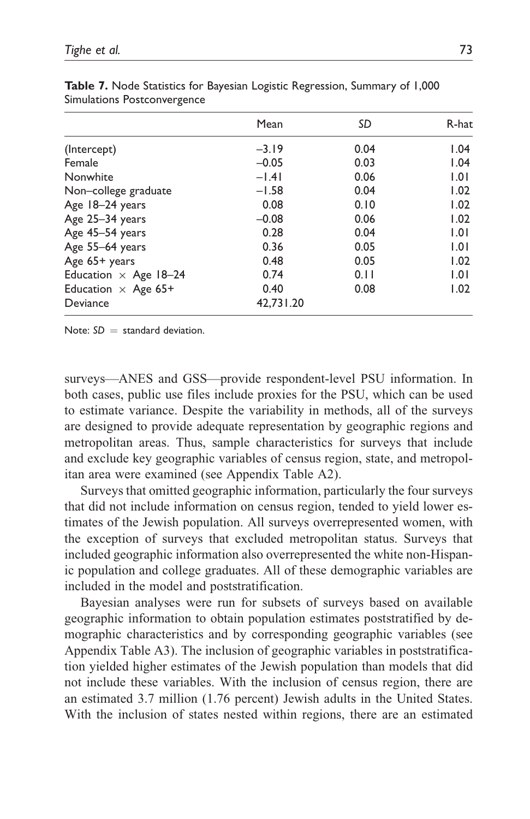|                              | Mean      | SD   | R-hat |
|------------------------------|-----------|------|-------|
| (Intercept)                  | $-3.19$   | 0.04 | 1.04  |
| Female                       | $-0.05$   | 0.03 | 1.04  |
| Nonwhite                     | $-1.41$   | 0.06 | 1.01  |
| Non-college graduate         | $-1.58$   | 0.04 | 1.02  |
| Age 18-24 years              | 0.08      | 0.10 | 1.02  |
| Age 25-34 years              | $-0.08$   | 0.06 | 1.02  |
| Age 45-54 years              | 0.28      | 0.04 | 1.01  |
| Age 55-64 years              | 0.36      | 0.05 | 1.01  |
| Age 65+ years                | 0.48      | 0.05 | 1.02  |
| Education $\times$ Age 18-24 | 0.74      | 0.11 | 1.01  |
| Education $\times$ Age 65+   | 0.40      | 0.08 | 1.02  |
| Deviance                     | 42.731.20 |      |       |

Table 7. Node Statistics for Bayesian Logistic Regression, Summary of 1,000 Simulations Postconvergence

Note:  $SD =$  standard deviation.

surveys—ANES and GSS—provide respondent-level PSU information. In both cases, public use files include proxies for the PSU, which can be used to estimate variance. Despite the variability in methods, all of the surveys are designed to provide adequate representation by geographic regions and metropolitan areas. Thus, sample characteristics for surveys that include and exclude key geographic variables of census region, state, and metropolitan area were examined (see Appendix Table A2).

Surveys that omitted geographic information, particularly the four surveys that did not include information on census region, tended to yield lower estimates of the Jewish population. All surveys overrepresented women, with the exception of surveys that excluded metropolitan status. Surveys that included geographic information also overrepresented the white non-Hispanic population and college graduates. All of these demographic variables are included in the model and poststratification.

Bayesian analyses were run for subsets of surveys based on available geographic information to obtain population estimates poststratified by demographic characteristics and by corresponding geographic variables (see Appendix Table A3). The inclusion of geographic variables in poststratification yielded higher estimates of the Jewish population than models that did not include these variables. With the inclusion of census region, there are an estimated 3.7 million (1.76 percent) Jewish adults in the United States. With the inclusion of states nested within regions, there are an estimated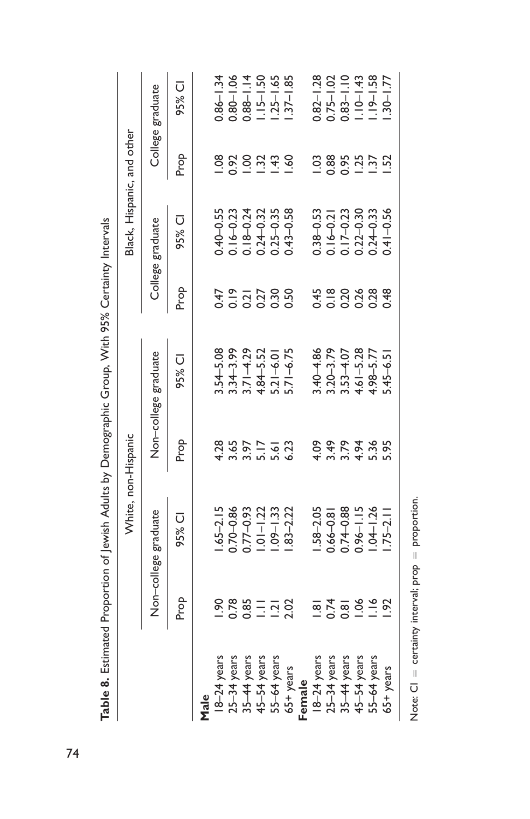|                 |                     | Table 8. Estimated Proportion of Jewish Adults by Demographic Group, With 95% Certainty Intervals |                                           |                                |                                                 |                            |                 |                  |
|-----------------|---------------------|---------------------------------------------------------------------------------------------------|-------------------------------------------|--------------------------------|-------------------------------------------------|----------------------------|-----------------|------------------|
|                 |                     | White, non-Hispanic                                                                               |                                           |                                |                                                 | Black, Hispanic, and other |                 |                  |
|                 |                     | Non-college graduate                                                                              |                                           | Non-college graduate           |                                                 | College graduate           |                 | College graduate |
|                 | Prop                | 95% CI                                                                                            | Prop                                      | 95% CI                         | Prop                                            | 95% CI                     | Prop            | 95% CI           |
| Male            |                     |                                                                                                   |                                           |                                |                                                 |                            |                 |                  |
| $18 - 24$ years | <u>ଚ୍</u>           | $.65 - 2.15$                                                                                      |                                           | $3.54 - 5.08$                  |                                                 | $0.40 - 0.55$              | $\frac{8}{2}$   | $0.86 - 1.34$    |
| $25-34$ years   |                     | $.70 - 0.86$                                                                                      | $2805577$<br>$295779$<br>$295779$         | $.34 - 3.99$                   | 4 = 1 1 1 1 0 1<br>4 = 1 1 1 1 0 1<br>0 0 0 0 0 | $-0.23$                    | 50 <sup>2</sup> | $0.80 - 1.06$    |
| 35-44 years     | 0.78                | $277 - 0.93$                                                                                      |                                           | $3.71 - 4.29$                  |                                                 | $0.18 - 0.24$              | si              | $-88 - 1.14$     |
| 45-54 years     | Ξ                   | $.01 - 1.22$                                                                                      |                                           | $.84 - 5.52$                   |                                                 | $0.24 - 0.32$              | $\frac{52}{2}$  | $-15 - 1.50$     |
| 55-64 years     | $\overline{5}$      | $.09 - 1.33$                                                                                      |                                           |                                |                                                 | $0.25 - 0.35$              | 4.              | $.25 - 1.65$     |
| $65+years$      | 2.02                | $.83 - 2.22$                                                                                      |                                           | $5.21 - 6.01$<br>$5.71 - 6.75$ |                                                 | $0.43 - 0.58$              | $\frac{60}{ }$  | $1.37 - 1.85$    |
| Female          |                     |                                                                                                   |                                           |                                |                                                 |                            |                 |                  |
| $18 - 24$ years | $\overline{\infty}$ | $.58 - 2.05$                                                                                      |                                           | $3.40 - 4.86$                  |                                                 | $0.38 - 0.53$              | Ŝ               | $0.82 - 1.28$    |
| $25-34$ years   | 0.74                | $0.66 - 0.81$                                                                                     |                                           | $.20 - 3.79$                   | $0.45$<br>0.18                                  | $0.16 - 0.21$              | 0.88            | $0.75 - 1.02$    |
| 35-44 years     | 0.81                | $0.74 - 0.88$                                                                                     |                                           | $.53 - 4.07$                   | 0.28<br>0.28                                    | $0.17 - 0.23$              | 0.95            | $0.83 - 1.10$    |
| 45-54 years     | 0.06                | $-96 - 1.15$                                                                                      |                                           | $.61 - 5.28$                   |                                                 | $0.22 - 0.30$              | $\frac{25}{13}$ | $-10 - 1.43$     |
| 55-64 years     | $\frac{1}{2}$       | $.04 - 1.26$                                                                                      | 8 8 8 8 9 9<br>8 8 8 9 9 9<br>8 9 8 9 9 9 | $1.98 - 5.77$                  |                                                 | $0.24 - 0.33$              |                 | $19 - 1.58$      |
| 65+ years       | $-92$               | $.75 - 2.1$                                                                                       |                                           | $-45 - 6.5$                    | 0.48                                            | $-0.56$                    | 52              | $30 - 1.77$      |
|                 |                     |                                                                                                   |                                           |                                |                                                 |                            |                 |                  |

Table 8. Estimated Proportion of Jewish Adults by Demographic Group, With 95% Certainty Intervals VARIL OF OUT  $\ddot{\zeta}$ d. Ċ J. ł l, ï j Ę l, é, l, ŗ,  $\bullet$ **TANA** 

Note:  $Cl =$  certainty interval;  $prop =$  proportion. Note:  $Cl =$  certainty interval; prop  $=$  proportion.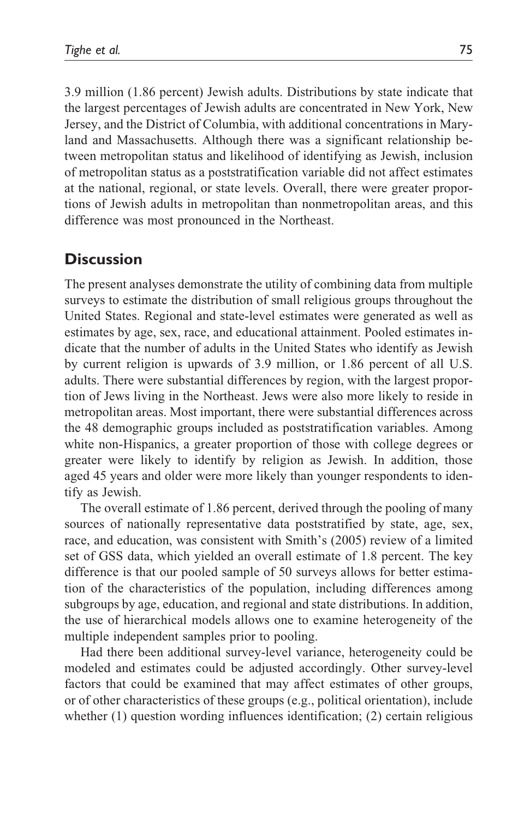3.9 million (1.86 percent) Jewish adults. Distributions by state indicate that the largest percentages of Jewish adults are concentrated in New York, New Jersey, and the District of Columbia, with additional concentrations in Maryland and Massachusetts. Although there was a significant relationship between metropolitan status and likelihood of identifying as Jewish, inclusion of metropolitan status as a poststratification variable did not affect estimates at the national, regional, or state levels. Overall, there were greater proportions of Jewish adults in metropolitan than nonmetropolitan areas, and this difference was most pronounced in the Northeast.

## **Discussion**

The present analyses demonstrate the utility of combining data from multiple surveys to estimate the distribution of small religious groups throughout the United States. Regional and state-level estimates were generated as well as estimates by age, sex, race, and educational attainment. Pooled estimates indicate that the number of adults in the United States who identify as Jewish by current religion is upwards of 3.9 million, or 1.86 percent of all U.S. adults. There were substantial differences by region, with the largest proportion of Jews living in the Northeast. Jews were also more likely to reside in metropolitan areas. Most important, there were substantial differences across the 48 demographic groups included as poststratification variables. Among white non-Hispanics, a greater proportion of those with college degrees or greater were likely to identify by religion as Jewish. In addition, those aged 45 years and older were more likely than younger respondents to identify as Jewish.

The overall estimate of 1.86 percent, derived through the pooling of many sources of nationally representative data poststratified by state, age, sex, race, and education, was consistent with Smith's (2005) review of a limited set of GSS data, which yielded an overall estimate of 1.8 percent. The key difference is that our pooled sample of 50 surveys allows for better estimation of the characteristics of the population, including differences among subgroups by age, education, and regional and state distributions. In addition, the use of hierarchical models allows one to examine heterogeneity of the multiple independent samples prior to pooling.

Had there been additional survey-level variance, heterogeneity could be modeled and estimates could be adjusted accordingly. Other survey-level factors that could be examined that may affect estimates of other groups, or of other characteristics of these groups (e.g., political orientation), include whether (1) question wording influences identification; (2) certain religious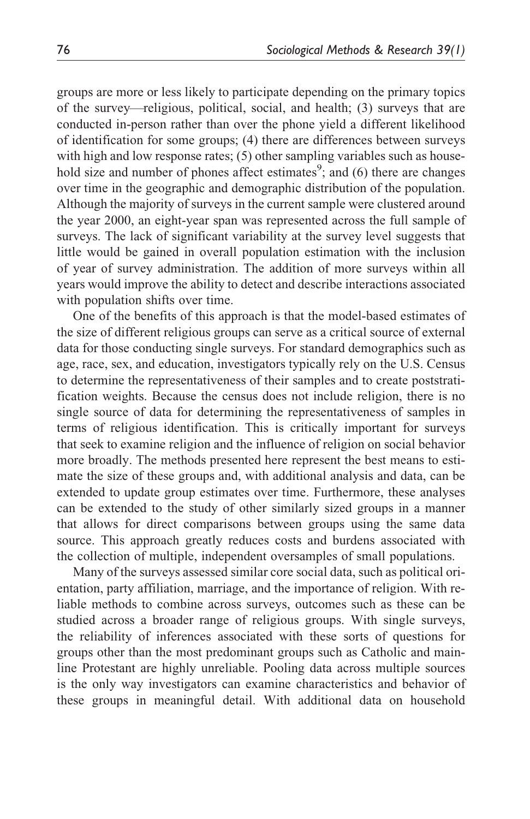groups are more or less likely to participate depending on the primary topics of the survey—religious, political, social, and health; (3) surveys that are conducted in-person rather than over the phone yield a different likelihood of identification for some groups; (4) there are differences between surveys with high and low response rates; (5) other sampling variables such as household size and number of phones affect estimates<sup>9</sup>; and (6) there are changes over time in the geographic and demographic distribution of the population. Although the majority of surveys in the current sample were clustered around the year 2000, an eight-year span was represented across the full sample of surveys. The lack of significant variability at the survey level suggests that little would be gained in overall population estimation with the inclusion of year of survey administration. The addition of more surveys within all years would improve the ability to detect and describe interactions associated with population shifts over time.

One of the benefits of this approach is that the model-based estimates of the size of different religious groups can serve as a critical source of external data for those conducting single surveys. For standard demographics such as age, race, sex, and education, investigators typically rely on the U.S. Census to determine the representativeness of their samples and to create poststratification weights. Because the census does not include religion, there is no single source of data for determining the representativeness of samples in terms of religious identification. This is critically important for surveys that seek to examine religion and the influence of religion on social behavior more broadly. The methods presented here represent the best means to estimate the size of these groups and, with additional analysis and data, can be extended to update group estimates over time. Furthermore, these analyses can be extended to the study of other similarly sized groups in a manner that allows for direct comparisons between groups using the same data source. This approach greatly reduces costs and burdens associated with the collection of multiple, independent oversamples of small populations.

Many of the surveys assessed similar core social data, such as political orientation, party affiliation, marriage, and the importance of religion. With reliable methods to combine across surveys, outcomes such as these can be studied across a broader range of religious groups. With single surveys, the reliability of inferences associated with these sorts of questions for groups other than the most predominant groups such as Catholic and mainline Protestant are highly unreliable. Pooling data across multiple sources is the only way investigators can examine characteristics and behavior of these groups in meaningful detail. With additional data on household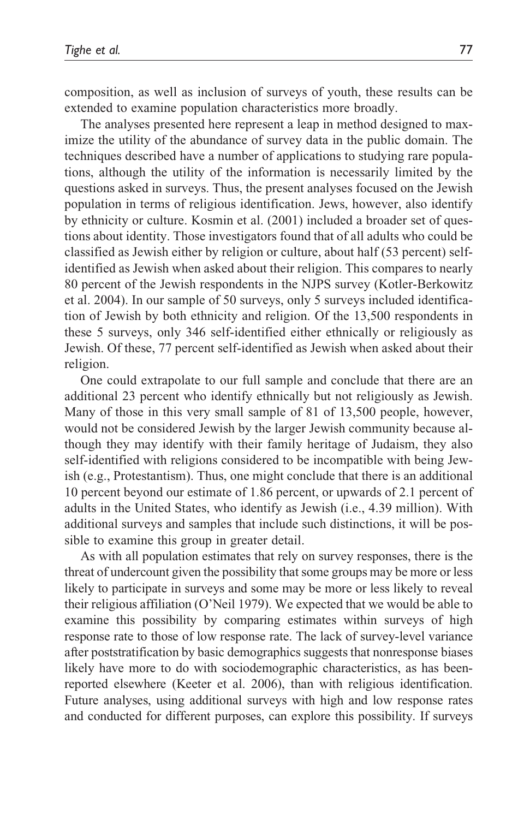composition, as well as inclusion of surveys of youth, these results can be extended to examine population characteristics more broadly.

The analyses presented here represent a leap in method designed to maximize the utility of the abundance of survey data in the public domain. The techniques described have a number of applications to studying rare populations, although the utility of the information is necessarily limited by the questions asked in surveys. Thus, the present analyses focused on the Jewish population in terms of religious identification. Jews, however, also identify by ethnicity or culture. Kosmin et al. (2001) included a broader set of questions about identity. Those investigators found that of all adults who could be classified as Jewish either by religion or culture, about half (53 percent) selfidentified as Jewish when asked about their religion. This compares to nearly 80 percent of the Jewish respondents in the NJPS survey (Kotler-Berkowitz et al. 2004). In our sample of 50 surveys, only 5 surveys included identification of Jewish by both ethnicity and religion. Of the 13,500 respondents in these 5 surveys, only 346 self-identified either ethnically or religiously as Jewish. Of these, 77 percent self-identified as Jewish when asked about their religion.

One could extrapolate to our full sample and conclude that there are an additional 23 percent who identify ethnically but not religiously as Jewish. Many of those in this very small sample of 81 of 13,500 people, however, would not be considered Jewish by the larger Jewish community because although they may identify with their family heritage of Judaism, they also self-identified with religions considered to be incompatible with being Jewish (e.g., Protestantism). Thus, one might conclude that there is an additional 10 percent beyond our estimate of 1.86 percent, or upwards of 2.1 percent of adults in the United States, who identify as Jewish (i.e., 4.39 million). With additional surveys and samples that include such distinctions, it will be possible to examine this group in greater detail.

As with all population estimates that rely on survey responses, there is the threat of undercount given the possibility that some groups may be more or less likely to participate in surveys and some may be more or less likely to reveal their religious affiliation (O'Neil 1979). We expected that we would be able to examine this possibility by comparing estimates within surveys of high response rate to those of low response rate. The lack of survey-level variance after poststratification by basic demographics suggests that nonresponse biases likely have more to do with sociodemographic characteristics, as has beenreported elsewhere (Keeter et al. 2006), than with religious identification. Future analyses, using additional surveys with high and low response rates and conducted for different purposes, can explore this possibility. If surveys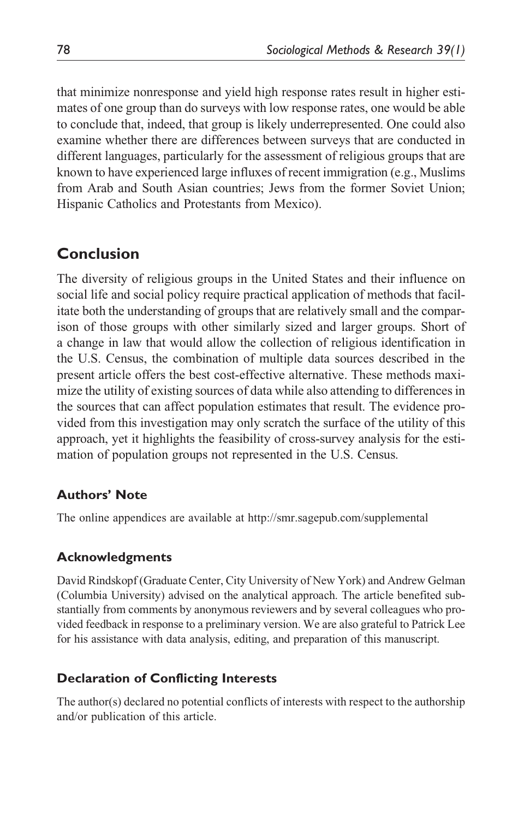that minimize nonresponse and yield high response rates result in higher estimates of one group than do surveys with low response rates, one would be able to conclude that, indeed, that group is likely underrepresented. One could also examine whether there are differences between surveys that are conducted in different languages, particularly for the assessment of religious groups that are known to have experienced large influxes of recent immigration (e.g., Muslims from Arab and South Asian countries; Jews from the former Soviet Union; Hispanic Catholics and Protestants from Mexico).

## Conclusion

The diversity of religious groups in the United States and their influence on social life and social policy require practical application of methods that facilitate both the understanding of groups that are relatively small and the comparison of those groups with other similarly sized and larger groups. Short of a change in law that would allow the collection of religious identification in the U.S. Census, the combination of multiple data sources described in the present article offers the best cost-effective alternative. These methods maximize the utility of existing sources of data while also attending to differences in the sources that can affect population estimates that result. The evidence provided from this investigation may only scratch the surface of the utility of this approach, yet it highlights the feasibility of cross-survey analysis for the estimation of population groups not represented in the U.S. Census.

#### Authors' Note

The online appendices are available at http://smr.sagepub.com/supplemental

#### Acknowledgments

David Rindskopf (Graduate Center, City University of New York) and Andrew Gelman (Columbia University) advised on the analytical approach. The article benefited substantially from comments by anonymous reviewers and by several colleagues who provided feedback in response to a preliminary version. We are also grateful to Patrick Lee for his assistance with data analysis, editing, and preparation of this manuscript.

#### Declaration of Conflicting Interests

The author(s) declared no potential conflicts of interests with respect to the authorship and/or publication of this article.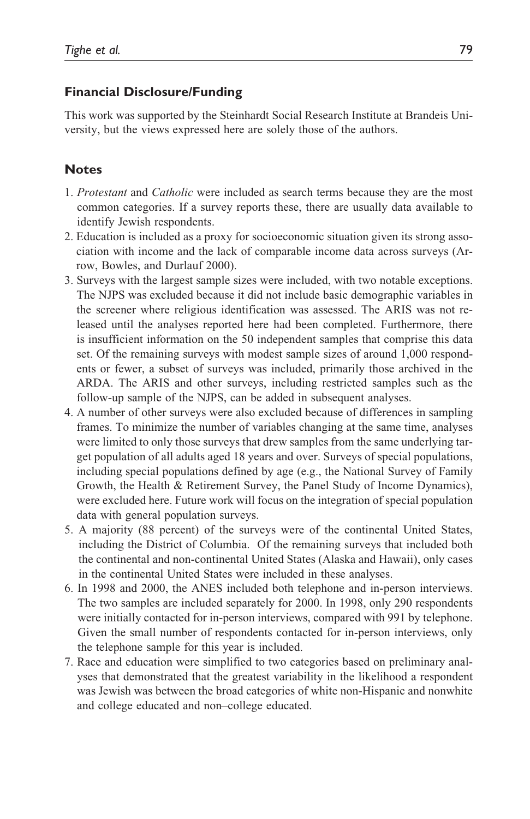#### Financial Disclosure/Funding

This work was supported by the Steinhardt Social Research Institute at Brandeis University, but the views expressed here are solely those of the authors.

#### **Notes**

- 1. Protestant and Catholic were included as search terms because they are the most common categories. If a survey reports these, there are usually data available to identify Jewish respondents.
- 2. Education is included as a proxy for socioeconomic situation given its strong association with income and the lack of comparable income data across surveys (Arrow, Bowles, and Durlauf 2000).
- 3. Surveys with the largest sample sizes were included, with two notable exceptions. The NJPS was excluded because it did not include basic demographic variables in the screener where religious identification was assessed. The ARIS was not released until the analyses reported here had been completed. Furthermore, there is insufficient information on the 50 independent samples that comprise this data set. Of the remaining surveys with modest sample sizes of around 1,000 respondents or fewer, a subset of surveys was included, primarily those archived in the ARDA. The ARIS and other surveys, including restricted samples such as the follow-up sample of the NJPS, can be added in subsequent analyses.
- 4. A number of other surveys were also excluded because of differences in sampling frames. To minimize the number of variables changing at the same time, analyses were limited to only those surveys that drew samples from the same underlying target population of all adults aged 18 years and over. Surveys of special populations, including special populations defined by age (e.g., the National Survey of Family Growth, the Health & Retirement Survey, the Panel Study of Income Dynamics), were excluded here. Future work will focus on the integration of special population data with general population surveys.
- 5. A majority (88 percent) of the surveys were of the continental United States, including the District of Columbia. Of the remaining surveys that included both the continental and non-continental United States (Alaska and Hawaii), only cases in the continental United States were included in these analyses.
- 6. In 1998 and 2000, the ANES included both telephone and in-person interviews. The two samples are included separately for 2000. In 1998, only 290 respondents were initially contacted for in-person interviews, compared with 991 by telephone. Given the small number of respondents contacted for in-person interviews, only the telephone sample for this year is included.
- 7. Race and education were simplified to two categories based on preliminary analyses that demonstrated that the greatest variability in the likelihood a respondent was Jewish was between the broad categories of white non-Hispanic and nonwhite and college educated and non–college educated.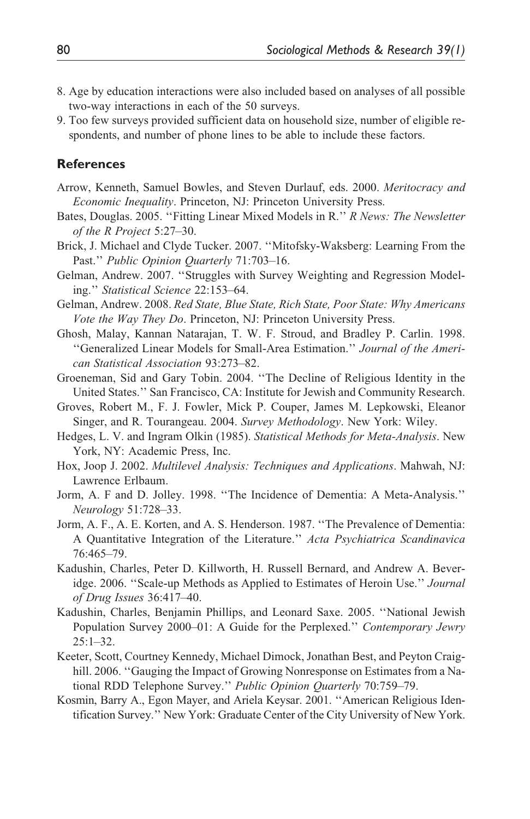- 8. Age by education interactions were also included based on analyses of all possible two-way interactions in each of the 50 surveys.
- 9. Too few surveys provided sufficient data on household size, number of eligible respondents, and number of phone lines to be able to include these factors.

#### References

- Arrow, Kenneth, Samuel Bowles, and Steven Durlauf, eds. 2000. Meritocracy and Economic Inequality. Princeton, NJ: Princeton University Press.
- Bates, Douglas. 2005. ''Fitting Linear Mixed Models in R.'' R News: The Newsletter of the R Project 5:27–30.
- Brick, J. Michael and Clyde Tucker. 2007. ''Mitofsky-Waksberg: Learning From the Past.'' Public Opinion Quarterly 71:703–16.
- Gelman, Andrew. 2007. ''Struggles with Survey Weighting and Regression Modeling.'' Statistical Science 22:153–64.
- Gelman, Andrew. 2008. Red State, Blue State, Rich State, Poor State: Why Americans Vote the Way They Do. Princeton, NJ: Princeton University Press.
- Ghosh, Malay, Kannan Natarajan, T. W. F. Stroud, and Bradley P. Carlin. 1998. ''Generalized Linear Models for Small-Area Estimation.'' Journal of the American Statistical Association 93:273–82.
- Groeneman, Sid and Gary Tobin. 2004. ''The Decline of Religious Identity in the United States.'' San Francisco, CA: Institute for Jewish and Community Research.
- Groves, Robert M., F. J. Fowler, Mick P. Couper, James M. Lepkowski, Eleanor Singer, and R. Tourangeau. 2004. Survey Methodology. New York: Wiley.
- Hedges, L. V. and Ingram Olkin (1985). Statistical Methods for Meta-Analysis. New York, NY: Academic Press, Inc.
- Hox, Joop J. 2002. Multilevel Analysis: Techniques and Applications. Mahwah, NJ: Lawrence Erlbaum.
- Jorm, A. F and D. Jolley. 1998. ''The Incidence of Dementia: A Meta-Analysis.'' Neurology 51:728–33.
- Jorm, A. F., A. E. Korten, and A. S. Henderson. 1987. ''The Prevalence of Dementia: A Quantitative Integration of the Literature.'' Acta Psychiatrica Scandinavica 76:465–79.
- Kadushin, Charles, Peter D. Killworth, H. Russell Bernard, and Andrew A. Beveridge. 2006. ''Scale-up Methods as Applied to Estimates of Heroin Use.'' Journal of Drug Issues 36:417–40.
- Kadushin, Charles, Benjamin Phillips, and Leonard Saxe. 2005. ''National Jewish Population Survey 2000–01: A Guide for the Perplexed.'' Contemporary Jewry  $25:1-32.$
- Keeter, Scott, Courtney Kennedy, Michael Dimock, Jonathan Best, and Peyton Craighill. 2006. "Gauging the Impact of Growing Nonresponse on Estimates from a National RDD Telephone Survey.'' Public Opinion Quarterly 70:759–79.
- Kosmin, Barry A., Egon Mayer, and Ariela Keysar. 2001. ''American Religious Identification Survey.'' New York: Graduate Center of the City University of New York.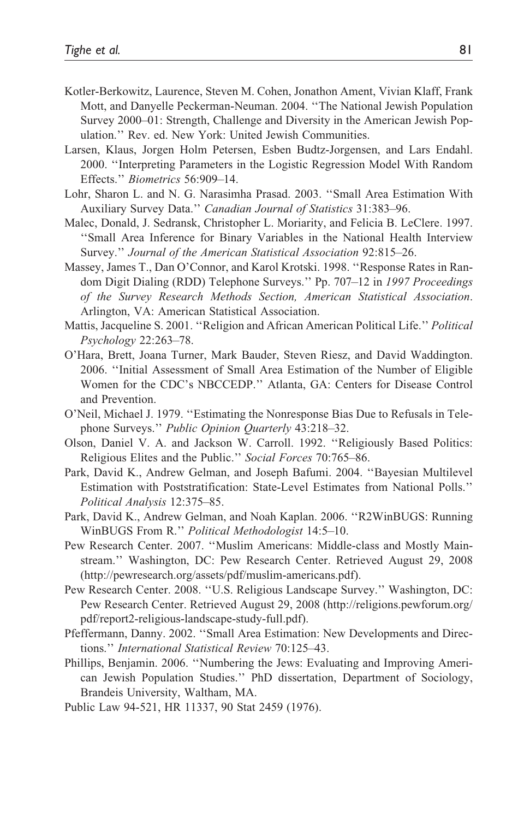- Kotler-Berkowitz, Laurence, Steven M. Cohen, Jonathon Ament, Vivian Klaff, Frank Mott, and Danyelle Peckerman-Neuman. 2004. ''The National Jewish Population Survey 2000–01: Strength, Challenge and Diversity in the American Jewish Population.'' Rev. ed. New York: United Jewish Communities.
- Larsen, Klaus, Jorgen Holm Petersen, Esben Budtz-Jorgensen, and Lars Endahl. 2000. ''Interpreting Parameters in the Logistic Regression Model With Random Effects.'' Biometrics 56:909–14.
- Lohr, Sharon L. and N. G. Narasimha Prasad. 2003. ''Small Area Estimation With Auxiliary Survey Data.'' Canadian Journal of Statistics 31:383–96.
- Malec, Donald, J. Sedransk, Christopher L. Moriarity, and Felicia B. LeClere. 1997. ''Small Area Inference for Binary Variables in the National Health Interview Survey.'' Journal of the American Statistical Association 92:815–26.
- Massey, James T., Dan O'Connor, and Karol Krotski. 1998. ''Response Rates in Random Digit Dialing (RDD) Telephone Surveys.'' Pp. 707–12 in 1997 Proceedings of the Survey Research Methods Section, American Statistical Association. Arlington, VA: American Statistical Association.
- Mattis, Jacqueline S. 2001. ''Religion and African American Political Life.'' Political Psychology 22:263–78.
- O'Hara, Brett, Joana Turner, Mark Bauder, Steven Riesz, and David Waddington. 2006. ''Initial Assessment of Small Area Estimation of the Number of Eligible Women for the CDC's NBCCEDP.'' Atlanta, GA: Centers for Disease Control and Prevention.
- O'Neil, Michael J. 1979. ''Estimating the Nonresponse Bias Due to Refusals in Telephone Surveys." Public Opinion Quarterly 43:218-32.
- Olson, Daniel V. A. and Jackson W. Carroll. 1992. ''Religiously Based Politics: Religious Elites and the Public.'' Social Forces 70:765–86.
- Park, David K., Andrew Gelman, and Joseph Bafumi. 2004. ''Bayesian Multilevel Estimation with Poststratification: State-Level Estimates from National Polls.'' Political Analysis 12:375–85.
- Park, David K., Andrew Gelman, and Noah Kaplan. 2006. ''R2WinBUGS: Running WinBUGS From R.'' Political Methodologist 14:5–10.
- Pew Research Center. 2007. ''Muslim Americans: Middle-class and Mostly Mainstream.'' Washington, DC: Pew Research Center. Retrieved August 29, 2008 (http://pewresearch.org/assets/pdf/muslim-americans.pdf).
- Pew Research Center. 2008. ''U.S. Religious Landscape Survey.'' Washington, DC: Pew Research Center. Retrieved August 29, 2008 (http://religions.pewforum.org/ pdf/report2-religious-landscape-study-full.pdf).
- Pfeffermann, Danny. 2002. ''Small Area Estimation: New Developments and Directions.'' International Statistical Review 70:125–43.
- Phillips, Benjamin. 2006. ''Numbering the Jews: Evaluating and Improving American Jewish Population Studies.'' PhD dissertation, Department of Sociology, Brandeis University, Waltham, MA.
- Public Law 94-521, HR 11337, 90 Stat 2459 (1976).